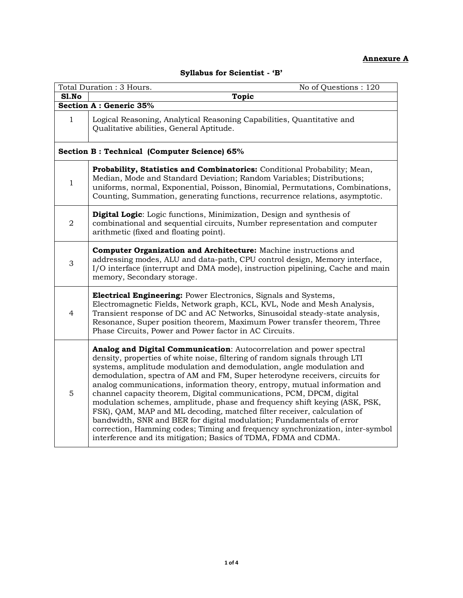## **Annexure A**

|  |  | Syllabus for Scientist - 'B' |  |
|--|--|------------------------------|--|
|--|--|------------------------------|--|

|                | Total Duration: 3 Hours.<br>No of Questions: 120                                                                                                                                                                                                                                                                                                                                                                                                                                                                                                                                                                                                                                                                                                                                                                                                       |  |  |  |  |
|----------------|--------------------------------------------------------------------------------------------------------------------------------------------------------------------------------------------------------------------------------------------------------------------------------------------------------------------------------------------------------------------------------------------------------------------------------------------------------------------------------------------------------------------------------------------------------------------------------------------------------------------------------------------------------------------------------------------------------------------------------------------------------------------------------------------------------------------------------------------------------|--|--|--|--|
| Sl.No          | <b>Topic</b>                                                                                                                                                                                                                                                                                                                                                                                                                                                                                                                                                                                                                                                                                                                                                                                                                                           |  |  |  |  |
|                | <b>Section A: Generic 35%</b>                                                                                                                                                                                                                                                                                                                                                                                                                                                                                                                                                                                                                                                                                                                                                                                                                          |  |  |  |  |
| $\mathbf{1}$   | Logical Reasoning, Analytical Reasoning Capabilities, Quantitative and<br>Qualitative abilities, General Aptitude.                                                                                                                                                                                                                                                                                                                                                                                                                                                                                                                                                                                                                                                                                                                                     |  |  |  |  |
|                | Section B: Technical (Computer Science) 65%                                                                                                                                                                                                                                                                                                                                                                                                                                                                                                                                                                                                                                                                                                                                                                                                            |  |  |  |  |
| $\mathbf{1}$   | Probability, Statistics and Combinatorics: Conditional Probability; Mean,<br>Median, Mode and Standard Deviation; Random Variables; Distributions;<br>uniforms, normal, Exponential, Poisson, Binomial, Permutations, Combinations,<br>Counting, Summation, generating functions, recurrence relations, asymptotic.                                                                                                                                                                                                                                                                                                                                                                                                                                                                                                                                    |  |  |  |  |
| $\overline{2}$ | <b>Digital Logic:</b> Logic functions, Minimization, Design and synthesis of<br>combinational and sequential circuits, Number representation and computer<br>arithmetic (fixed and floating point).                                                                                                                                                                                                                                                                                                                                                                                                                                                                                                                                                                                                                                                    |  |  |  |  |
| 3              | Computer Organization and Architecture: Machine instructions and<br>addressing modes, ALU and data-path, CPU control design, Memory interface,<br>I/O interface (interrupt and DMA mode), instruction pipelining, Cache and main<br>memory, Secondary storage.                                                                                                                                                                                                                                                                                                                                                                                                                                                                                                                                                                                         |  |  |  |  |
| $\overline{4}$ | <b>Electrical Engineering:</b> Power Electronics, Signals and Systems,<br>Electromagnetic Fields, Network graph, KCL, KVL, Node and Mesh Analysis,<br>Transient response of DC and AC Networks, Sinusoidal steady-state analysis,<br>Resonance, Super position theorem, Maximum Power transfer theorem, Three<br>Phase Circuits, Power and Power factor in AC Circuits.                                                                                                                                                                                                                                                                                                                                                                                                                                                                                |  |  |  |  |
| 5              | Analog and Digital Communication: Autocorrelation and power spectral<br>density, properties of white noise, filtering of random signals through LTI<br>systems, amplitude modulation and demodulation, angle modulation and<br>demodulation, spectra of AM and FM, Super heterodyne receivers, circuits for<br>analog communications, information theory, entropy, mutual information and<br>channel capacity theorem, Digital communications, PCM, DPCM, digital<br>modulation schemes, amplitude, phase and frequency shift keying (ASK, PSK,<br>FSK), QAM, MAP and ML decoding, matched filter receiver, calculation of<br>bandwidth, SNR and BER for digital modulation; Fundamentals of error<br>correction, Hamming codes; Timing and frequency synchronization, inter-symbol<br>interference and its mitigation; Basics of TDMA, FDMA and CDMA. |  |  |  |  |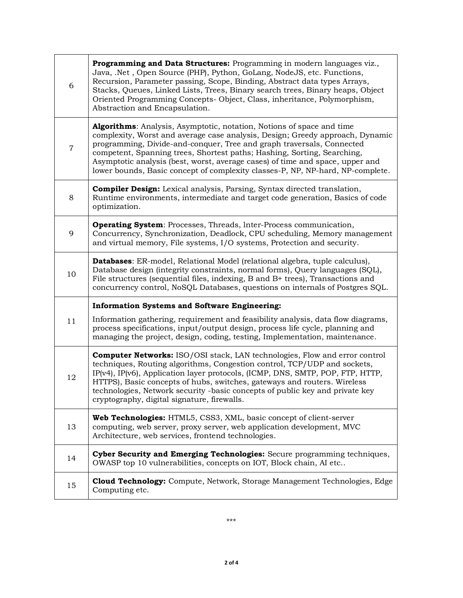| 6              | Programming and Data Structures: Programming in modern languages viz.,<br>Java, .Net, Open Source (PHP), Python, GoLang, NodeJS, etc. Functions,<br>Recursion, Parameter passing, Scope, Binding, Abstract data types Arrays,<br>Stacks, Queues, Linked Lists, Trees, Binary search trees, Binary heaps, Object<br>Oriented Programming Concepts- Object, Class, inheritance, Polymorphism,<br>Abstraction and Encapsulation.                                                 |
|----------------|-------------------------------------------------------------------------------------------------------------------------------------------------------------------------------------------------------------------------------------------------------------------------------------------------------------------------------------------------------------------------------------------------------------------------------------------------------------------------------|
| $\overline{7}$ | Algorithms: Analysis, Asymptotic, notation, Notions of space and time<br>complexity, Worst and average case analysis, Design; Greedy approach, Dynamic<br>programming, Divide-and-conquer, Tree and graph traversals, Connected<br>competent, Spanning trees, Shortest paths; Hashing, Sorting, Searching,<br>Asymptotic analysis (best, worst, average cases) of time and space, upper and<br>lower bounds, Basic concept of complexity classes-P, NP, NP-hard, NP-complete. |
| 8              | <b>Compiler Design:</b> Lexical analysis, Parsing, Syntax directed translation,<br>Runtime environments, intermediate and target code generation, Basics of code<br>optimization.                                                                                                                                                                                                                                                                                             |
| 9              | <b>Operating System:</b> Processes, Threads, Inter-Process communication,<br>Concurrency, Synchronization, Deadlock, CPU scheduling, Memory management<br>and virtual memory, File systems, I/O systems, Protection and security.                                                                                                                                                                                                                                             |
| 10             | <b>Databases:</b> ER-model, Relational Model (relational algebra, tuple calculus),<br>Database design (integrity constraints, normal forms), Query languages (SQL),<br>File structures (sequential files, indexing, B and B+ trees), Transactions and<br>concurrency control, NoSQL Databases, questions on internals of Postgres SQL.                                                                                                                                        |
|                | <b>Information Systems and Software Engineering:</b>                                                                                                                                                                                                                                                                                                                                                                                                                          |
| 11             | Information gathering, requirement and feasibility analysis, data flow diagrams,<br>process specifications, input/output design, process life cycle, planning and<br>managing the project, design, coding, testing, Implementation, maintenance.                                                                                                                                                                                                                              |
| 12             | <b>Computer Networks:</b> ISO/OSI stack, LAN technologies, Flow and error control<br>techniques, Routing algorithms, Congestion control, TCP/UDP and sockets,<br>IP(v4), IP(v6), Application layer protocols, (ICMP, DNS, SMTP, POP, FTP, HTTP,<br>HTTPS), Basic concepts of hubs, switches, gateways and routers. Wireless<br>technologies, Network security -basic concepts of public key and private key<br>cryptography, digital signature, firewalls.                    |
| 13             | Web Technologies: HTML5, CSS3, XML, basic concept of client-server<br>computing, web server, proxy server, web application development, MVC<br>Architecture, web services, frontend technologies.                                                                                                                                                                                                                                                                             |
| 14             | Cyber Security and Emerging Technologies: Secure programming techniques,<br>OWASP top 10 vulnerabilities, concepts on IOT, Block chain, AI etc                                                                                                                                                                                                                                                                                                                                |
| 15             | <b>Cloud Technology:</b> Compute, Network, Storage Management Technologies, Edge<br>Computing etc.                                                                                                                                                                                                                                                                                                                                                                            |

\*\*\*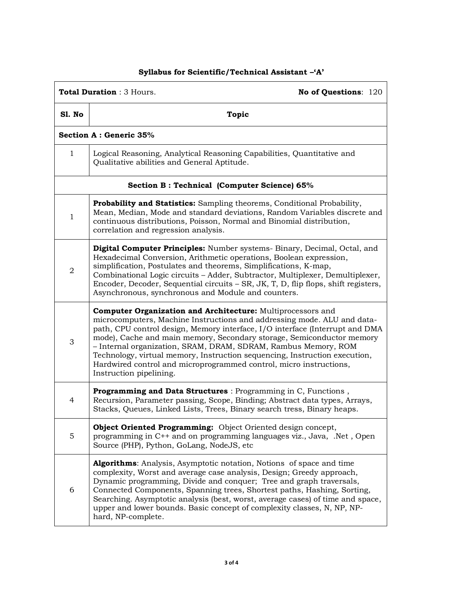## **Syllabus for Scientific/Technical Assistant –'A'**

| <b>Total Duration: 3 Hours.</b><br>No of Questions: 120 |                                                                                                                                                                                                                                                                                                                                                                                                                                                                                                                                                  |  |  |  |  |
|---------------------------------------------------------|--------------------------------------------------------------------------------------------------------------------------------------------------------------------------------------------------------------------------------------------------------------------------------------------------------------------------------------------------------------------------------------------------------------------------------------------------------------------------------------------------------------------------------------------------|--|--|--|--|
| S1. No                                                  | <b>Topic</b>                                                                                                                                                                                                                                                                                                                                                                                                                                                                                                                                     |  |  |  |  |
|                                                         | <b>Section A: Generic 35%</b>                                                                                                                                                                                                                                                                                                                                                                                                                                                                                                                    |  |  |  |  |
| 1                                                       | Logical Reasoning, Analytical Reasoning Capabilities, Quantitative and<br>Qualitative abilities and General Aptitude.                                                                                                                                                                                                                                                                                                                                                                                                                            |  |  |  |  |
|                                                         | Section B: Technical (Computer Science) 65%                                                                                                                                                                                                                                                                                                                                                                                                                                                                                                      |  |  |  |  |
| 1                                                       | <b>Probability and Statistics:</b> Sampling theorems, Conditional Probability,<br>Mean, Median, Mode and standard deviations, Random Variables discrete and<br>continuous distributions, Poisson, Normal and Binomial distribution,<br>correlation and regression analysis.                                                                                                                                                                                                                                                                      |  |  |  |  |
| 2                                                       | Digital Computer Principles: Number systems- Binary, Decimal, Octal, and<br>Hexadecimal Conversion, Arithmetic operations, Boolean expression,<br>simplification, Postulates and theorems, Simplifications, K-map,<br>Combinational Logic circuits - Adder, Subtractor, Multiplexer, Demultiplexer,<br>Encoder, Decoder, Sequential circuits – SR, JK, T, D, flip flops, shift registers,<br>Asynchronous, synchronous and Module and counters.                                                                                                  |  |  |  |  |
| 3                                                       | Computer Organization and Architecture: Multiprocessors and<br>microcomputers, Machine Instructions and addressing mode. ALU and data-<br>path, CPU control design, Memory interface, I/O interface (Interrupt and DMA<br>mode), Cache and main memory, Secondary storage, Semiconductor memory<br>- Internal organization, SRAM, DRAM, SDRAM, Rambus Memory, ROM<br>Technology, virtual memory, Instruction sequencing, Instruction execution,<br>Hardwired control and microprogrammed control, micro instructions,<br>Instruction pipelining. |  |  |  |  |
| 4                                                       | Programming and Data Structures : Programming in C, Functions,<br>Recursion, Parameter passing, Scope, Binding; Abstract data types, Arrays,<br>Stacks, Queues, Linked Lists, Trees, Binary search tress, Binary heaps.                                                                                                                                                                                                                                                                                                                          |  |  |  |  |
| 5                                                       | <b>Object Oriented Programming:</b> Object Oriented design concept,<br>programming in C++ and on programming languages viz., Java, .Net, Open<br>Source (PHP), Python, GoLang, NodeJS, etc                                                                                                                                                                                                                                                                                                                                                       |  |  |  |  |
| 6                                                       | <b>Algorithms:</b> Analysis, Asymptotic notation, Notions of space and time<br>complexity, Worst and average case analysis, Design; Greedy approach,<br>Dynamic programming, Divide and conquer; Tree and graph traversals,<br>Connected Components, Spanning trees, Shortest paths, Hashing, Sorting,<br>Searching. Asymptotic analysis (best, worst, average cases) of time and space,<br>upper and lower bounds. Basic concept of complexity classes, N, NP, NP-<br>hard, NP-complete.                                                        |  |  |  |  |